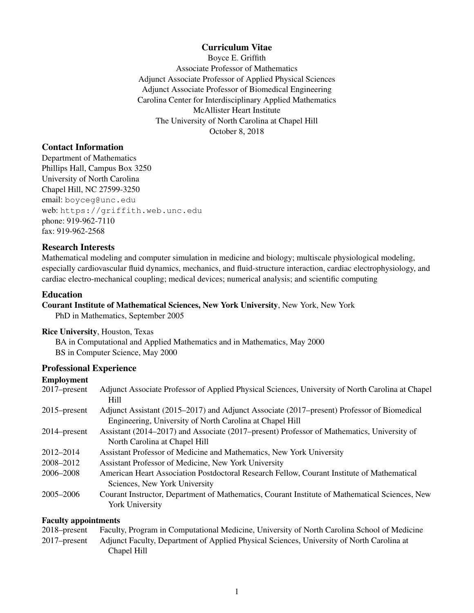#### Curriculum Vitae

Boyce E. Griffith Associate Professor of Mathematics Adjunct Associate Professor of Applied Physical Sciences Adjunct Associate Professor of Biomedical Engineering Carolina Center for Interdisciplinary Applied Mathematics McAllister Heart Institute The University of North Carolina at Chapel Hill October 8, 2018

### Contact Information

Department of Mathematics Phillips Hall, Campus Box 3250 University of North Carolina Chapel Hill, NC 27599-3250 email: boyceg@unc.edu web: https://griffith.web.unc.edu phone: 919-962-7110 fax: 919-962-2568

#### Research Interests

Mathematical modeling and computer simulation in medicine and biology; multiscale physiological modeling, especially cardiovascular fluid dynamics, mechanics, and fluid-structure interaction, cardiac electrophysiology, and cardiac electro-mechanical coupling; medical devices; numerical analysis; and scientific computing

#### Education

#### Courant Institute of Mathematical Sciences, New York University, New York, New York

PhD in Mathematics, September 2005

#### Rice University, Houston, Texas

BA in Computational and Applied Mathematics and in Mathematics, May 2000 BS in Computer Science, May 2000

#### Professional Experience

## Employment

| ениргоунгент    |                                                                                                                             |
|-----------------|-----------------------------------------------------------------------------------------------------------------------------|
| $2017$ -present | Adjunct Associate Professor of Applied Physical Sciences, University of North Carolina at Chapel                            |
|                 | <b>Hill</b>                                                                                                                 |
| $2015$ -present | Adjunct Assistant (2015–2017) and Adjunct Associate (2017–present) Professor of Biomedical                                  |
|                 | Engineering, University of North Carolina at Chapel Hill                                                                    |
| $2014$ -present | Assistant (2014–2017) and Associate (2017–present) Professor of Mathematics, University of                                  |
|                 | North Carolina at Chapel Hill                                                                                               |
| 2012-2014       | Assistant Professor of Medicine and Mathematics, New York University                                                        |
| 2008–2012       | Assistant Professor of Medicine, New York University                                                                        |
| 2006–2008       | American Heart Association Postdoctoral Research Fellow, Courant Institute of Mathematical<br>Sciences, New York University |
| $2005 - 2006$   | Courant Instructor, Department of Mathematics, Courant Institute of Mathematical Sciences, New                              |
|                 | <b>York University</b>                                                                                                      |
|                 |                                                                                                                             |

#### Faculty appointments

| $2018$ -present | Faculty, Program in Computational Medicine, University of North Carolina School of Medicine |
|-----------------|---------------------------------------------------------------------------------------------|
| $2017$ -present | Adjunct Faculty, Department of Applied Physical Sciences, University of North Carolina at   |
|                 | Chapel Hill                                                                                 |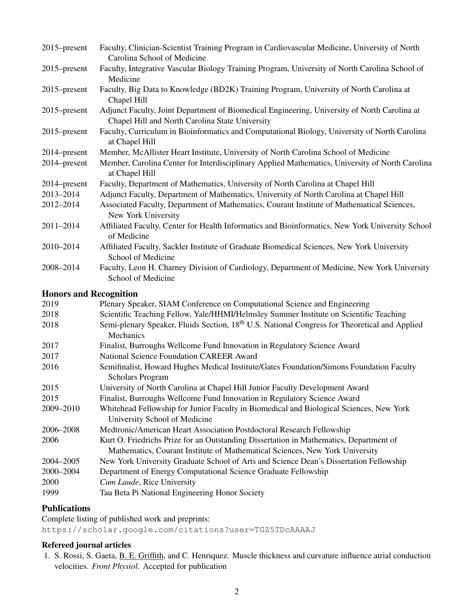| $2015$ -present               | Faculty, Clinician-Scientist Training Program in Cardiovascular Medicine, University of North<br>Carolina School of Medicine                                           |
|-------------------------------|------------------------------------------------------------------------------------------------------------------------------------------------------------------------|
| $2015$ -present               | Faculty, Integrative Vascular Biology Training Program, University of North Carolina School of<br>Medicine                                                             |
| 2015–present                  | Faculty, Big Data to Knowledge (BD2K) Training Program, University of North Carolina at<br>Chapel Hill                                                                 |
| $2015$ -present               | Adjunct Faculty, Joint Department of Biomedical Engineering, University of North Carolina at<br>Chapel Hill and North Carolina State University                        |
| 2015–present                  | Faculty, Curriculum in Bioinformatics and Computational Biology, University of North Carolina<br>at Chapel Hill                                                        |
| 2014–present                  | Member, McAllister Heart Institute, University of North Carolina School of Medicine                                                                                    |
| 2014-present                  | Member, Carolina Center for Interdisciplinary Applied Mathematics, University of North Carolina<br>at Chapel Hill                                                      |
| 2014–present                  | Faculty, Department of Mathematics, University of North Carolina at Chapel Hill                                                                                        |
| 2013-2014                     | Adjunct Faculty, Department of Mathematics, University of North Carolina at Chapel Hill                                                                                |
| 2012-2014                     | Associated Faculty, Department of Mathematics, Courant Institute of Mathematical Sciences,<br>New York University                                                      |
| 2011-2014                     | Affiliated Faculty, Center for Health Informatics and Bioinformatics, New York University School<br>of Medicine                                                        |
| 2010-2014                     | Affiliated Faculty, Sackler Institute of Graduate Biomedical Sciences, New York University<br>School of Medicine                                                       |
| 2008-2014                     | Faculty, Leon H. Charney Division of Cardiology, Department of Medicine, New York University<br>School of Medicine                                                     |
| <b>Honors and Recognition</b> |                                                                                                                                                                        |
| 2019                          | Plenary Speaker, SIAM Conference on Computational Science and Engineering                                                                                              |
| 2018                          | Scientific Teaching Fellow, Yale/HHMI/Helmsley Summer Institute on Scientific Teaching                                                                                 |
| 2018                          | Semi-plenary Speaker, Fluids Section, 18 <sup>th</sup> U.S. National Congress for Theoretical and Applied<br>Mechanics                                                 |
| 2017                          | Finalist, Burroughs Wellcome Fund Innovation in Regulatory Science Award                                                                                               |
| 2017                          | <b>National Science Foundation CAREER Award</b>                                                                                                                        |
| 2016                          | Semifinalist, Howard Hughes Medical Institute/Gates Foundation/Simons Foundation Faculty<br><b>Scholars Program</b>                                                    |
| 2015                          | University of North Carolina at Chapel Hill Junior Faculty Development Award                                                                                           |
| 2015                          | Finalist, Burroughs Wellcome Fund Innovation in Regulatory Science Award                                                                                               |
| 2009-2010                     | Whitehead Fellowship for Junior Faculty in Biomedical and Biological Sciences, New York<br>University School of Medicine                                               |
| 2006-2008                     | Medtronic/American Heart Association Postdoctoral Research Fellowship                                                                                                  |
| 2006                          | Kurt O. Friedrichs Prize for an Outstanding Dissertation in Mathematics, Department of<br>Mathematics, Courant Institute of Mathematical Sciences, New York University |
| 2004-2005                     | New York University Graduate School of Arts and Science Dean's Dissertation Fellowship                                                                                 |
| 2000-2004                     | Department of Energy Computational Science Graduate Fellowship                                                                                                         |
| 2000                          | Cum Laude, Rice University                                                                                                                                             |
| 1999                          | Tau Beta Pi National Engineering Honor Society                                                                                                                         |

# Publications

Complete listing of published work and preprints: https://scholar.google.com/citations?user=TGZ5TDcAAAAJ

### Refereed journal articles

1. S. Rossi, S. Gaeta, B. E. Griffith, and C. Henriquez. Muscle thickness and curvature influence atrial conduction velocities. *Front Physiol*. Accepted for publication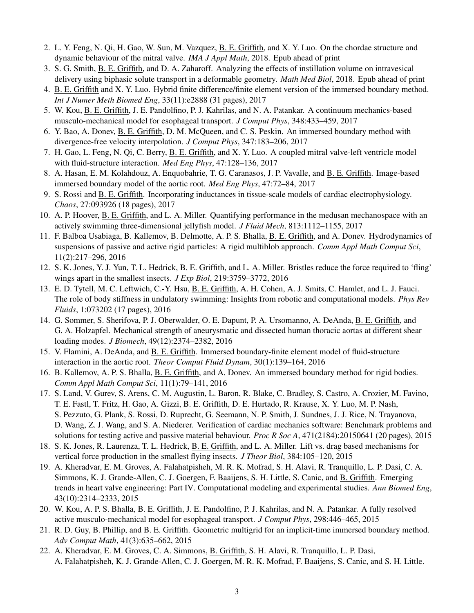- 2. L. Y. Feng, N. Qi, H. Gao, W. Sun, M. Vazquez, B. E. Griffith, and X. Y. Luo. On the chordae structure and dynamic behaviour of the mitral valve. *IMA J Appl Math*, 2018. Epub ahead of print
- 3. S. G. Smith, B. E. Griffith, and D. A. Zaharoff. Analyzing the effects of instillation volume on intravesical delivery using biphasic solute transport in a deformable geometry. *Math Med Biol*, 2018. Epub ahead of print
- 4. B. E. Griffith and X. Y. Luo. Hybrid finite difference/finite element version of the immersed boundary method. *Int J Numer Meth Biomed Eng*, 33(11):e2888 (31 pages), 2017
- 5. W. Kou, B. E. Griffith, J. E. Pandolfino, P. J. Kahrilas, and N. A. Patankar. A continuum mechanics-based musculo-mechanical model for esophageal transport. *J Comput Phys*, 348:433–459, 2017
- 6. Y. Bao, A. Donev, B. E. Griffith, D. M. McQueen, and C. S. Peskin. An immersed boundary method with divergence-free velocity interpolation. *J Comput Phys*, 347:183–206, 2017
- 7. H. Gao, L. Feng, N. Qi, C. Berry, B. E. Griffith, and X. Y. Luo. A coupled mitral valve-left ventricle model with fluid-structure interaction. *Med Eng Phys*, 47:128–136, 2017
- 8. A. Hasan, E. M. Kolahdouz, A. Enquobahrie, T. G. Caranasos, J. P. Vavalle, and B. E. Griffith. Image-based immersed boundary model of the aortic root. *Med Eng Phys*, 47:72–84, 2017
- 9. S. Rossi and B. E. Griffith. Incorporating inductances in tissue-scale models of cardiac electrophysiology. *Chaos*, 27:093926 (18 pages), 2017
- 10. A. P. Hoover, B. E. Griffith, and L. A. Miller. Quantifying performance in the medusan mechanospace with an actively swimming three-dimensional jellyfish model. *J Fluid Mech*, 813:1112–1155, 2017
- 11. F. Balboa Usabiaga, B. Kallemov, B. Delmotte, A. P. S. Bhalla, B. E. Griffith, and A. Donev. Hydrodynamics of suspensions of passive and active rigid particles: A rigid multiblob approach. *Comm Appl Math Comput Sci*, 11(2):217–296, 2016
- 12. S. K. Jones, Y. J. Yun, T. L. Hedrick, B. E. Griffith, and L. A. Miller. Bristles reduce the force required to 'fling' wings apart in the smallest insects. *J Exp Biol*, 219:3759–3772, 2016
- 13. E. D. Tytell, M. C. Leftwich, C.-Y. Hsu, B. E. Griffith, A. H. Cohen, A. J. Smits, C. Hamlet, and L. J. Fauci. The role of body stiffness in undulatory swimming: Insights from robotic and computational models. *Phys Rev Fluids*, 1:073202 (17 pages), 2016
- 14. G. Sommer, S. Sherifova, P. J. Oberwalder, O. E. Dapunt, P. A. Ursomanno, A. DeAnda, B. E. Griffith, and G. A. Holzapfel. Mechanical strength of aneurysmatic and dissected human thoracic aortas at different shear loading modes. *J Biomech*, 49(12):2374–2382, 2016
- 15. V. Flamini, A. DeAnda, and B. E. Griffith. Immersed boundary-finite element model of fluid-structure interaction in the aortic root. *Theor Comput Fluid Dynam*, 30(1):139–164, 2016
- 16. B. Kallemov, A. P. S. Bhalla, B. E. Griffith, and A. Donev. An immersed boundary method for rigid bodies. *Comm Appl Math Comput Sci*, 11(1):79–141, 2016
- 17. S. Land, V. Gurev, S. Arens, C. M. Augustin, L. Baron, R. Blake, C. Bradley, S. Castro, A. Crozier, M. Favino, T. E. Fastl, T. Fritz, H. Gao, A. Gizzi, B. E. Griffith, D. E. Hurtado, R. Krause, X. Y. Luo, M. P. Nash, S. Pezzuto, G. Plank, S. Rossi, D. Ruprecht, G. Seemann, N. P. Smith, J. Sundnes, J. J. Rice, N. Trayanova, D. Wang, Z. J. Wang, and S. A. Niederer. Verification of cardiac mechanics software: Benchmark problems and solutions for testing active and passive material behaviour. *Proc R Soc A*, 471(2184):20150641 (20 pages), 2015
- 18. S. K. Jones, R. Laurenza, T. L. Hedrick, B. E. Griffith, and L. A. Miller. Lift vs. drag based mechanisms for vertical force production in the smallest flying insects. *J Theor Biol*, 384:105–120, 2015
- 19. A. Kheradvar, E. M. Groves, A. Falahatpisheh, M. R. K. Mofrad, S. H. Alavi, R. Tranquillo, L. P. Dasi, C. A. Simmons, K. J. Grande-Allen, C. J. Goergen, F. Baaijens, S. H. Little, S. Canic, and B. Griffith. Emerging trends in heart valve engineering: Part IV. Computational modeling and experimental studies. *Ann Biomed Eng*, 43(10):2314–2333, 2015
- 20. W. Kou, A. P. S. Bhalla, B. E. Griffith, J. E. Pandolfino, P. J. Kahrilas, and N. A. Patankar. A fully resolved active musculo-mechanical model for esophageal transport. *J Comput Phys*, 298:446–465, 2015
- 21. R. D. Guy, B. Phillip, and B. E. Griffith. Geometric multigrid for an implicit-time immersed boundary method. *Adv Comput Math*, 41(3):635–662, 2015
- 22. A. Kheradvar, E. M. Groves, C. A. Simmons, B. Griffith, S. H. Alavi, R. Tranquillo, L. P. Dasi, A. Falahatpisheh, K. J. Grande-Allen, C. J. Goergen, M. R. K. Mofrad, F. Baaijens, S. Canic, and S. H. Little.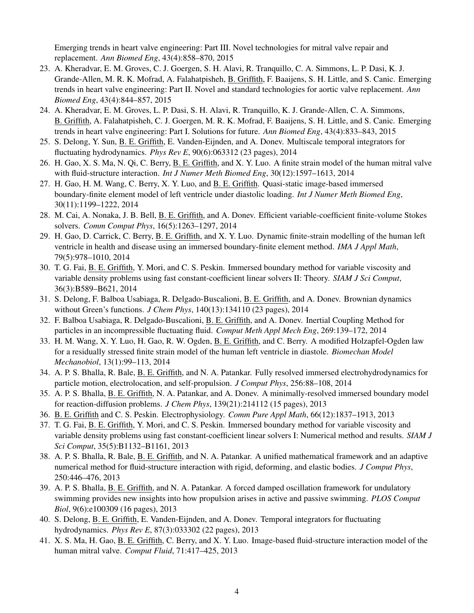Emerging trends in heart valve engineering: Part III. Novel technologies for mitral valve repair and replacement. *Ann Biomed Eng*, 43(4):858–870, 2015

- 23. A. Kheradvar, E. M. Groves, C. J. Goergen, S. H. Alavi, R. Tranquillo, C. A. Simmons, L. P. Dasi, K. J. Grande-Allen, M. R. K. Mofrad, A. Falahatpisheh, B. Griffith, F. Baaijens, S. H. Little, and S. Canic. Emerging trends in heart valve engineering: Part II. Novel and standard technologies for aortic valve replacement. *Ann Biomed Eng*, 43(4):844–857, 2015
- 24. A. Kheradvar, E. M. Groves, L. P. Dasi, S. H. Alavi, R. Tranquillo, K. J. Grande-Allen, C. A. Simmons, B. Griffith, A. Falahatpisheh, C. J. Goergen, M. R. K. Mofrad, F. Baaijens, S. H. Little, and S. Canic. Emerging trends in heart valve engineering: Part I. Solutions for future. *Ann Biomed Eng*, 43(4):833–843, 2015
- 25. S. Delong, Y. Sun, B. E. Griffith, E. Vanden-Eijnden, and A. Donev. Multiscale temporal integrators for fluctuating hydrodynamics. *Phys Rev E*, 90(6):063312 (23 pages), 2014
- 26. H. Gao, X. S. Ma, N. Qi, C. Berry, B. E. Griffith, and X. Y. Luo. A finite strain model of the human mitral valve with fluid-structure interaction. *Int J Numer Meth Biomed Eng*, 30(12):1597–1613, 2014
- 27. H. Gao, H. M. Wang, C. Berry, X. Y. Luo, and B. E. Griffith. Quasi-static image-based immersed boundary-finite element model of left ventricle under diastolic loading. *Int J Numer Meth Biomed Eng*, 30(11):1199–1222, 2014
- 28. M. Cai, A. Nonaka, J. B. Bell, B. E. Griffith, and A. Donev. Efficient variable-coefficient finite-volume Stokes solvers. *Comm Comput Phys*, 16(5):1263–1297, 2014
- 29. H. Gao, D. Carrick, C. Berry, B. E. Griffith, and X. Y. Luo. Dynamic finite-strain modelling of the human left ventricle in health and disease using an immersed boundary-finite element method. *IMA J Appl Math*, 79(5):978–1010, 2014
- 30. T. G. Fai, B. E. Griffith, Y. Mori, and C. S. Peskin. Immersed boundary method for variable viscosity and variable density problems using fast constant-coefficient linear solvers II: Theory. *SIAM J Sci Comput*, 36(3):B589–B621, 2014
- 31. S. Delong, F. Balboa Usabiaga, R. Delgado-Buscalioni, B. E. Griffith, and A. Donev. Brownian dynamics without Green's functions. *J Chem Phys*, 140(13):134110 (23 pages), 2014
- 32. F. Balboa Usabiaga, R. Delgado-Buscalioni, B. E. Griffith, and A. Donev. Inertial Coupling Method for particles in an incompressible fluctuating fluid. *Comput Meth Appl Mech Eng*, 269:139–172, 2014
- 33. H. M. Wang, X. Y. Luo, H. Gao, R. W. Ogden, B. E. Griffith, and C. Berry. A modified Holzapfel-Ogden law for a residually stressed finite strain model of the human left ventricle in diastole. *Biomechan Model Mechanobiol*, 13(1):99–113, 2014
- 34. A. P. S. Bhalla, R. Bale, B. E. Griffith, and N. A. Patankar. Fully resolved immersed electrohydrodynamics for particle motion, electrolocation, and self-propulsion. *J Comput Phys*, 256:88–108, 2014
- 35. A. P. S. Bhalla, B. E. Griffith, N. A. Patankar, and A. Donev. A minimally-resolved immersed boundary model for reaction-diffusion problems. *J Chem Phys*, 139(21):214112 (15 pages), 2013
- 36. B. E. Griffith and C. S. Peskin. Electrophysiology. *Comm Pure Appl Math*, 66(12):1837–1913, 2013
- 37. T. G. Fai, B. E. Griffith, Y. Mori, and C. S. Peskin. Immersed boundary method for variable viscosity and variable density problems using fast constant-coefficient linear solvers I: Numerical method and results. *SIAM J Sci Comput*, 35(5):B1132–B1161, 2013
- 38. A. P. S. Bhalla, R. Bale, B. E. Griffith, and N. A. Patankar. A unified mathematical framework and an adaptive numerical method for fluid-structure interaction with rigid, deforming, and elastic bodies. *J Comput Phys*, 250:446–476, 2013
- 39. A. P. S. Bhalla, B. E. Griffith, and N. A. Patankar. A forced damped oscillation framework for undulatory swimming provides new insights into how propulsion arises in active and passive swimming. *PLOS Comput Biol*, 9(6):e100309 (16 pages), 2013
- 40. S. Delong, B. E. Griffith, E. Vanden-Eijnden, and A. Donev. Temporal integrators for fluctuating hydrodynamics. *Phys Rev E*, 87(3):033302 (22 pages), 2013
- 41. X. S. Ma, H. Gao, B. E. Griffith, C. Berry, and X. Y. Luo. Image-based fluid-structure interaction model of the human mitral valve. *Comput Fluid*, 71:417–425, 2013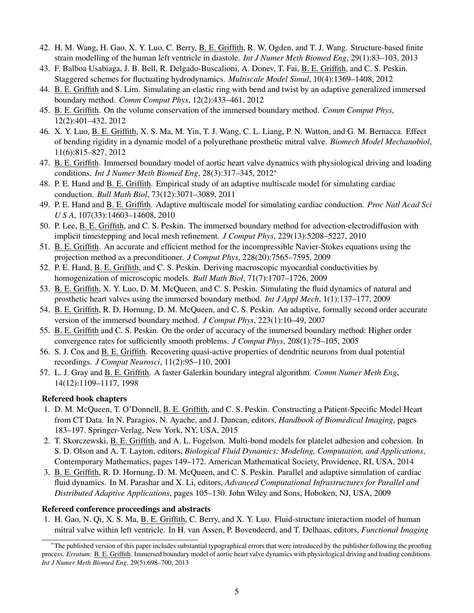- 42. H. M. Wang, H. Gao, X. Y. Luo, C. Berry, B. E. Griffith, R. W. Ogden, and T. J. Wang. Structure-based finite strain modelling of the human left ventricle in diastole. *Int J Numer Meth Biomed Eng*, 29(1):83–103, 2013
- 43. F. Balboa Usabiaga, J. B. Bell, R. Delgado-Buscalioni, A. Donev, T. Fai, B. E. Griffith, and C. S. Peskin. Staggered schemes for fluctuating hydrodynamics. *Multiscale Model Simul*, 10(4):1369–1408, 2012
- 44. B. E. Griffith and S. Lim. Simulating an elastic ring with bend and twist by an adaptive generalized immersed boundary method. *Comm Comput Phys*, 12(2):433–461, 2012
- 45. B. E. Griffith. On the volume conservation of the immersed boundary method. *Comm Comput Phys*, 12(2):401–432, 2012
- 46. X. Y. Luo, B. E. Griffith, X. S. Ma, M. Yin, T. J. Wang, C. L. Liang, P. N. Watton, and G. M. Bernacca. Effect of bending rigidity in a dynamic model of a polyurethane prosthetic mitral valve. *Biomech Model Mechanobiol*, 11(6):815–827, 2012
- 47. B. E. Griffith. Immersed boundary model of aortic heart valve dynamics with physiological driving and loading conditions. *Int J Numer Meth Biomed Eng*, 28(3):317–345, 2012<sup>∗</sup>
- 48. P. E. Hand and B. E. Griffith. Empirical study of an adaptive multiscale model for simulating cardiac conduction. *Bull Math Biol*, 73(12):3071–3089, 2011
- 49. P. E. Hand and B. E. Griffith. Adaptive multiscale model for simulating cardiac conduction. *Proc Natl Acad Sci U S A*, 107(33):14603–14608, 2010
- 50. P. Lee, B. E. Griffith, and C. S. Peskin. The immersed boundary method for advection-electrodiffusion with implicit timestepping and local mesh refinement. *J Comput Phys*, 229(13):5208–5227, 2010
- 51. B. E. Griffith. An accurate and efficient method for the incompressible Navier-Stokes equations using the projection method as a preconditioner. *J Comput Phys*, 228(20):7565–7595, 2009
- 52. P. E. Hand, B. E. Griffith, and C. S. Peskin. Deriving macroscopic myocardial conductivities by homogenization of microscopic models. *Bull Math Biol*, 71(7):1707–1726, 2009
- 53. B. E. Griffith, X. Y. Luo, D. M. McQueen, and C. S. Peskin. Simulating the fluid dynamics of natural and prosthetic heart valves using the immersed boundary method. *Int J Appl Mech*, 1(1):137–177, 2009
- 54. B. E. Griffith, R. D. Hornung, D. M. McQueen, and C. S. Peskin. An adaptive, formally second order accurate version of the immersed boundary method. *J Comput Phys*, 223(1):10–49, 2007
- 55. B. E. Griffith and C. S. Peskin. On the order of accuracy of the immersed boundary method: Higher order convergence rates for sufficiently smooth problems. *J Comput Phys*, 208(1):75–105, 2005
- 56. S. J. Cox and B. E. Griffith. Recovering quasi-active properties of dendritic neurons from dual potential recordings. *J Comput Neurosci*, 11(2):95–110, 2001
- 57. L. J. Gray and B. E. Griffith. A faster Galerkin boundary integral algorithm. *Comm Numer Meth Eng*, 14(12):1109–1117, 1998

#### Refereed book chapters

- 1. D. M. McQueen, T. O'Donnell, B. E. Griffith, and C. S. Peskin. Constructing a Patient-Specific Model Heart from CT Data. In N. Paragios, N. Ayache, and J. Duncan, editors, *Handbook of Biomedical Imaging*, pages 183–197. Springer-Verlag, New York, NY, USA, 2015
- 2. T. Skorczewski, B. E. Griffith, and A. L. Fogelson. Multi-bond models for platelet adhesion and cohesion. In S. D. Olson and A. T. Layton, editors, *Biological Fluid Dynamics: Modeling, Computation, and Applications*, Contemporary Mathematics, pages 149–172. American Mathematical Society, Providence, RI, USA, 2014
- 3. B. E. Griffith, R. D. Hornung, D. M. McQueen, and C. S. Peskin. Parallel and adaptive simulation of cardiac fluid dynamics. In M. Parashar and X. Li, editors, *Advanced Computational Infrastructures for Parallel and Distributed Adaptive Applications*, pages 105–130. John Wiley and Sons, Hoboken, NJ, USA, 2009

#### Refereed conference proceedings and abstracts

1. H. Gao, N. Qi, X. S. Ma, B. E. Griffith, C. Berry, and X. Y. Luo. Fluid-structure interaction model of human mitral valve within left ventricle. In H. van Assen, P. Bovendeerd, and T. Delhaas, editors, *Functional Imaging*

<sup>∗</sup>The published version of this paper includes substantial typographical errors that were introduced by the publisher following the proofing process. *Erratum:* B. E. Griffith. Immersed boundary model of aortic heart valve dynamics with physiological driving and loading conditions. *Int J Numer Meth Biomed Eng*, 29(5):698–700, 2013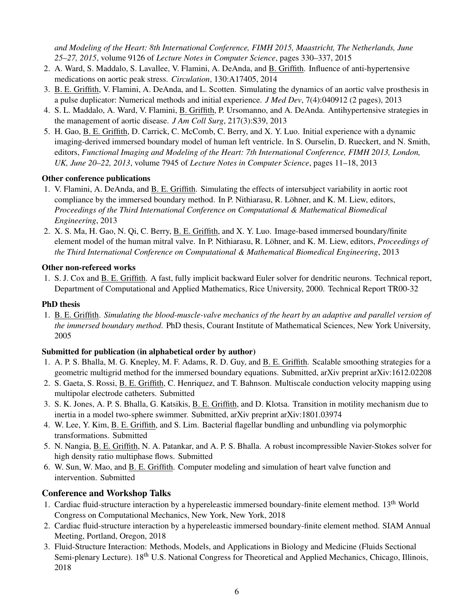*and Modeling of the Heart: 8th International Conference, FIMH 2015, Maastricht, The Netherlands, June 25–27, 2015*, volume 9126 of *Lecture Notes in Computer Science*, pages 330–337, 2015

- 2. A. Ward, S. Maddalo, S. Lavallee, V. Flamini, A. DeAnda, and B. Griffith. Influence of anti-hypertensive medications on aortic peak stress. *Circulation*, 130:A17405, 2014
- 3. B. E. Griffith, V. Flamini, A. DeAnda, and L. Scotten. Simulating the dynamics of an aortic valve prosthesis in a pulse duplicator: Numerical methods and initial experience. *J Med Dev*, 7(4):040912 (2 pages), 2013
- 4. S. L. Maddalo, A. Ward, V. Flamini, B. Griffith, P. Ursomanno, and A. DeAnda. Antihypertensive strategies in the management of aortic disease. *J Am Coll Surg*, 217(3):S39, 2013
- 5. H. Gao, B. E. Griffith, D. Carrick, C. McComb, C. Berry, and X. Y. Luo. Initial experience with a dynamic imaging-derived immersed boundary model of human left ventricle. In S. Ourselin, D. Rueckert, and N. Smith, editors, *Functional Imaging and Modeling of the Heart: 7th International Conference, FIMH 2013, London, UK, June 20–22, 2013*, volume 7945 of *Lecture Notes in Computer Science*, pages 11–18, 2013

## Other conference publications

- 1. V. Flamini, A. DeAnda, and B. E. Griffith. Simulating the effects of intersubject variability in aortic root compliance by the immersed boundary method. In P. Nithiarasu, R. Löhner, and K. M. Liew, editors, *Proceedings of the Third International Conference on Computational & Mathematical Biomedical Engineering*, 2013
- 2. X. S. Ma, H. Gao, N. Qi, C. Berry, B. E. Griffith, and X. Y. Luo. Image-based immersed boundary/finite element model of the human mitral valve. In P. Nithiarasu, R. Löhner, and K. M. Liew, editors, *Proceedings of the Third International Conference on Computational & Mathematical Biomedical Engineering*, 2013

## Other non-refereed works

1. S. J. Cox and B. E. Griffith. A fast, fully implicit backward Euler solver for dendritic neurons. Technical report, Department of Computational and Applied Mathematics, Rice University, 2000. Technical Report TR00-32

## PhD thesis

1. B. E. Griffith. *Simulating the blood-muscle-valve mechanics of the heart by an adaptive and parallel version of the immersed boundary method*. PhD thesis, Courant Institute of Mathematical Sciences, New York University, 2005

## Submitted for publication (in alphabetical order by author)

- 1. A. P. S. Bhalla, M. G. Knepley, M. F. Adams, R. D. Guy, and B. E. Griffith. Scalable smoothing strategies for a geometric multigrid method for the immersed boundary equations. Submitted, arXiv preprint arXiv:1612.02208
- 2. S. Gaeta, S. Rossi, B. E. Griffith, C. Henriquez, and T. Bahnson. Multiscale conduction velocity mapping using multipolar electrode catheters. Submitted
- 3. S. K. Jones, A. P. S. Bhalla, G. Katsikis, B. E. Griffith, and D. Klotsa. Transition in motility mechanism due to inertia in a model two-sphere swimmer. Submitted, arXiv preprint arXiv:1801.03974
- 4. W. Lee, Y. Kim, B. E. Griffith, and S. Lim. Bacterial flagellar bundling and unbundling via polymorphic transformations. Submitted
- 5. N. Nangia, B. E. Griffith, N. A. Patankar, and A. P. S. Bhalla. A robust incompressible Navier-Stokes solver for high density ratio multiphase flows. Submitted
- 6. W. Sun, W. Mao, and B. E. Griffith. Computer modeling and simulation of heart valve function and intervention. Submitted

## Conference and Workshop Talks

- 1. Cardiac fluid-structure interaction by a hypereleastic immersed boundary-finite element method. 13<sup>th</sup> World Congress on Computational Mechanics, New York, New York, 2018
- 2. Cardiac fluid-structure interaction by a hypereleastic immersed boundary-finite element method. SIAM Annual Meeting, Portland, Oregon, 2018
- 3. Fluid-Structure Interaction: Methods, Models, and Applications in Biology and Medicine (Fluids Sectional Semi-plenary Lecture). 18<sup>th</sup> U.S. National Congress for Theoretical and Applied Mechanics, Chicago, Illinois, 2018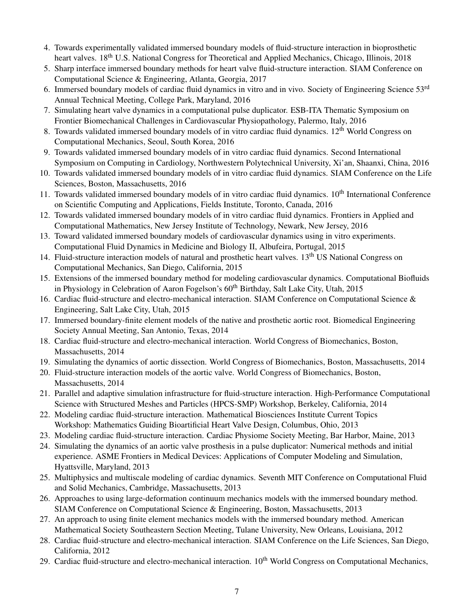- 4. Towards experimentally validated immersed boundary models of fluid-structure interaction in bioprosthetic heart valves. 18<sup>th</sup> U.S. National Congress for Theoretical and Applied Mechanics, Chicago, Illinois, 2018
- 5. Sharp interface immersed boundary methods for heart valve fluid-structure interaction. SIAM Conference on Computational Science & Engineering, Atlanta, Georgia, 2017
- 6. Immersed boundary models of cardiac fluid dynamics in vitro and in vivo. Society of Engineering Science 53rd Annual Technical Meeting, College Park, Maryland, 2016
- 7. Simulating heart valve dynamics in a computational pulse duplicator. ESB-ITA Thematic Symposium on Frontier Biomechanical Challenges in Cardiovascular Physiopathology, Palermo, Italy, 2016
- 8. Towards validated immersed boundary models of in vitro cardiac fluid dynamics. 12<sup>th</sup> World Congress on Computational Mechanics, Seoul, South Korea, 2016
- 9. Towards validated immersed boundary models of in vitro cardiac fluid dynamics. Second International Symposium on Computing in Cardiology, Northwestern Polytechnical University, Xi'an, Shaanxi, China, 2016
- 10. Towards validated immersed boundary models of in vitro cardiac fluid dynamics. SIAM Conference on the Life Sciences, Boston, Massachusetts, 2016
- 11. Towards validated immersed boundary models of in vitro cardiac fluid dynamics. 10<sup>th</sup> International Conference on Scientific Computing and Applications, Fields Institute, Toronto, Canada, 2016
- 12. Towards validated immersed boundary models of in vitro cardiac fluid dynamics. Frontiers in Applied and Computational Mathematics, New Jersey Institute of Technology, Newark, New Jersey, 2016
- 13. Toward validated immersed boundary models of cardiovascular dynamics using in vitro experiments. Computational Fluid Dynamics in Medicine and Biology II, Albufeira, Portugal, 2015
- 14. Fluid-structure interaction models of natural and prosthetic heart valves. 13<sup>th</sup> US National Congress on Computational Mechanics, San Diego, California, 2015
- 15. Extensions of the immersed boundary method for modeling cardiovascular dynamics. Computational Biofluids in Physiology in Celebration of Aaron Fogelson's  $60<sup>th</sup>$  Birthday, Salt Lake City, Utah, 2015
- 16. Cardiac fluid-structure and electro-mechanical interaction. SIAM Conference on Computational Science & Engineering, Salt Lake City, Utah, 2015
- 17. Immersed boundary-finite element models of the native and prosthetic aortic root. Biomedical Engineering Society Annual Meeting, San Antonio, Texas, 2014
- 18. Cardiac fluid-structure and electro-mechanical interaction. World Congress of Biomechanics, Boston, Massachusetts, 2014
- 19. Simulating the dynamics of aortic dissection. World Congress of Biomechanics, Boston, Massachusetts, 2014
- 20. Fluid-structure interaction models of the aortic valve. World Congress of Biomechanics, Boston, Massachusetts, 2014
- 21. Parallel and adaptive simulation infrastructure for fluid-structure interaction. High-Performance Computational Science with Structured Meshes and Particles (HPCS-SMP) Workshop, Berkeley, California, 2014
- 22. Modeling cardiac fluid-structure interaction. Mathematical Biosciences Institute Current Topics Workshop: Mathematics Guiding Bioartificial Heart Valve Design, Columbus, Ohio, 2013
- 23. Modeling cardiac fluid-structure interaction. Cardiac Physiome Society Meeting, Bar Harbor, Maine, 2013
- 24. Simulating the dynamics of an aortic valve prosthesis in a pulse duplicator: Numerical methods and initial experience. ASME Frontiers in Medical Devices: Applications of Computer Modeling and Simulation, Hyattsville, Maryland, 2013
- 25. Multiphysics and multiscale modeling of cardiac dynamics. Seventh MIT Conference on Computational Fluid and Solid Mechanics, Cambridge, Massachusetts, 2013
- 26. Approaches to using large-deformation continuum mechanics models with the immersed boundary method. SIAM Conference on Computational Science & Engineering, Boston, Massachusetts, 2013
- 27. An approach to using finite element mechanics models with the immersed boundary method. American Mathematical Society Southeastern Section Meeting, Tulane University, New Orleans, Louisiana, 2012
- 28. Cardiac fluid-structure and electro-mechanical interaction. SIAM Conference on the Life Sciences, San Diego, California, 2012
- 29. Cardiac fluid-structure and electro-mechanical interaction. 10<sup>th</sup> World Congress on Computational Mechanics,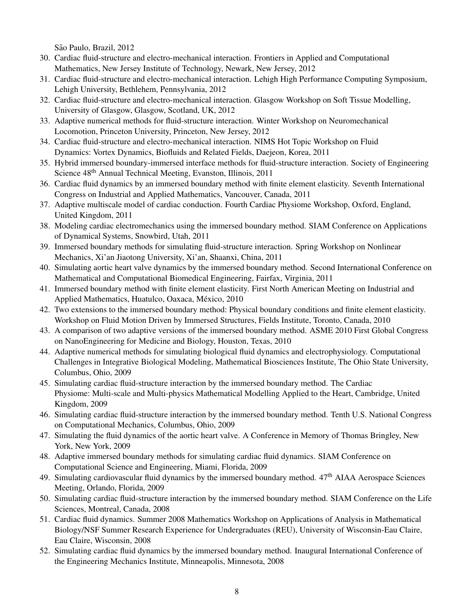São Paulo, Brazil, 2012

- 30. Cardiac fluid-structure and electro-mechanical interaction. Frontiers in Applied and Computational Mathematics, New Jersey Institute of Technology, Newark, New Jersey, 2012
- 31. Cardiac fluid-structure and electro-mechanical interaction. Lehigh High Performance Computing Symposium, Lehigh University, Bethlehem, Pennsylvania, 2012
- 32. Cardiac fluid-structure and electro-mechanical interaction. Glasgow Workshop on Soft Tissue Modelling, University of Glasgow, Glasgow, Scotland, UK, 2012
- 33. Adaptive numerical methods for fluid-structure interaction. Winter Workshop on Neuromechanical Locomotion, Princeton University, Princeton, New Jersey, 2012
- 34. Cardiac fluid-structure and electro-mechanical interaction. NIMS Hot Topic Workshop on Fluid Dynamics: Vortex Dynamics, Biofluids and Related Fields, Daejeon, Korea, 2011
- 35. Hybrid immersed boundary-immersed interface methods for fluid-structure interaction. Society of Engineering Science 48th Annual Technical Meeting, Evanston, Illinois, 2011
- 36. Cardiac fluid dynamics by an immersed boundary method with finite element elasticity. Seventh International Congress on Industrial and Applied Mathematics, Vancouver, Canada, 2011
- 37. Adaptive multiscale model of cardiac conduction. Fourth Cardiac Physiome Workshop, Oxford, England, United Kingdom, 2011
- 38. Modeling cardiac electromechanics using the immersed boundary method. SIAM Conference on Applications of Dynamical Systems, Snowbird, Utah, 2011
- 39. Immersed boundary methods for simulating fluid-structure interaction. Spring Workshop on Nonlinear Mechanics, Xi'an Jiaotong University, Xi'an, Shaanxi, China, 2011
- 40. Simulating aortic heart valve dynamics by the immersed boundary method. Second International Conference on Mathematical and Computational Biomedical Engineering, Fairfax, Virginia, 2011
- 41. Immersed boundary method with finite element elasticity. First North American Meeting on Industrial and Applied Mathematics, Huatulco, Oaxaca, México, 2010
- 42. Two extensions to the immersed boundary method: Physical boundary conditions and finite element elasticity. Workshop on Fluid Motion Driven by Immersed Structures, Fields Institute, Toronto, Canada, 2010
- 43. A comparison of two adaptive versions of the immersed boundary method. ASME 2010 First Global Congress on NanoEngineering for Medicine and Biology, Houston, Texas, 2010
- 44. Adaptive numerical methods for simulating biological fluid dynamics and electrophysiology. Computational Challenges in Integrative Biological Modeling, Mathematical Biosciences Institute, The Ohio State University, Columbus, Ohio, 2009
- 45. Simulating cardiac fluid-structure interaction by the immersed boundary method. The Cardiac Physiome: Multi-scale and Multi-physics Mathematical Modelling Applied to the Heart, Cambridge, United Kingdom, 2009
- 46. Simulating cardiac fluid-structure interaction by the immersed boundary method. Tenth U.S. National Congress on Computational Mechanics, Columbus, Ohio, 2009
- 47. Simulating the fluid dynamics of the aortic heart valve. A Conference in Memory of Thomas Bringley, New York, New York, 2009
- 48. Adaptive immersed boundary methods for simulating cardiac fluid dynamics. SIAM Conference on Computational Science and Engineering, Miami, Florida, 2009
- 49. Simulating cardiovascular fluid dynamics by the immersed boundary method.  $47<sup>th</sup>$  AIAA Aerospace Sciences Meeting, Orlando, Florida, 2009
- 50. Simulating cardiac fluid-structure interaction by the immersed boundary method. SIAM Conference on the Life Sciences, Montreal, Canada, 2008
- 51. Cardiac fluid dynamics. Summer 2008 Mathematics Workshop on Applications of Analysis in Mathematical Biology/NSF Summer Research Experience for Undergraduates (REU), University of Wisconsin-Eau Claire, Eau Claire, Wisconsin, 2008
- 52. Simulating cardiac fluid dynamics by the immersed boundary method. Inaugural International Conference of the Engineering Mechanics Institute, Minneapolis, Minnesota, 2008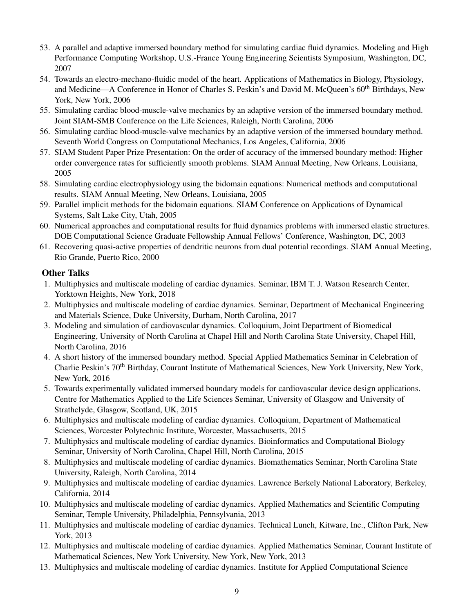- 53. A parallel and adaptive immersed boundary method for simulating cardiac fluid dynamics. Modeling and High Performance Computing Workshop, U.S.-France Young Engineering Scientists Symposium, Washington, DC, 2007
- 54. Towards an electro-mechano-fluidic model of the heart. Applications of Mathematics in Biology, Physiology, and Medicine—A Conference in Honor of Charles S. Peskin's and David M. McQueen's 60<sup>th</sup> Birthdays, New York, New York, 2006
- 55. Simulating cardiac blood-muscle-valve mechanics by an adaptive version of the immersed boundary method. Joint SIAM-SMB Conference on the Life Sciences, Raleigh, North Carolina, 2006
- 56. Simulating cardiac blood-muscle-valve mechanics by an adaptive version of the immersed boundary method. Seventh World Congress on Computational Mechanics, Los Angeles, California, 2006
- 57. SIAM Student Paper Prize Presentation: On the order of accuracy of the immersed boundary method: Higher order convergence rates for sufficiently smooth problems. SIAM Annual Meeting, New Orleans, Louisiana, 2005
- 58. Simulating cardiac electrophysiology using the bidomain equations: Numerical methods and computational results. SIAM Annual Meeting, New Orleans, Louisiana, 2005
- 59. Parallel implicit methods for the bidomain equations. SIAM Conference on Applications of Dynamical Systems, Salt Lake City, Utah, 2005
- 60. Numerical approaches and computational results for fluid dynamics problems with immersed elastic structures. DOE Computational Science Graduate Fellowship Annual Fellows' Conference, Washington, DC, 2003
- 61. Recovering quasi-active properties of dendritic neurons from dual potential recordings. SIAM Annual Meeting, Rio Grande, Puerto Rico, 2000

## Other Talks

- 1. Multiphysics and multiscale modeling of cardiac dynamics. Seminar, IBM T. J. Watson Research Center, Yorktown Heights, New York, 2018
- 2. Multiphysics and multiscale modeling of cardiac dynamics. Seminar, Department of Mechanical Engineering and Materials Science, Duke University, Durham, North Carolina, 2017
- 3. Modeling and simulation of cardiovascular dynamics. Colloquium, Joint Department of Biomedical Engineering, University of North Carolina at Chapel Hill and North Carolina State University, Chapel Hill, North Carolina, 2016
- 4. A short history of the immersed boundary method. Special Applied Mathematics Seminar in Celebration of Charlie Peskin's 70th Birthday, Courant Institute of Mathematical Sciences, New York University, New York, New York, 2016
- 5. Towards experimentally validated immersed boundary models for cardiovascular device design applications. Centre for Mathematics Applied to the Life Sciences Seminar, University of Glasgow and University of Strathclyde, Glasgow, Scotland, UK, 2015
- 6. Multiphysics and multiscale modeling of cardiac dynamics. Colloquium, Department of Mathematical Sciences, Worcester Polytechnic Institute, Worcester, Massachusetts, 2015
- 7. Multiphysics and multiscale modeling of cardiac dynamics. Bioinformatics and Computational Biology Seminar, University of North Carolina, Chapel Hill, North Carolina, 2015
- 8. Multiphysics and multiscale modeling of cardiac dynamics. Biomathematics Seminar, North Carolina State University, Raleigh, North Carolina, 2014
- 9. Multiphysics and multiscale modeling of cardiac dynamics. Lawrence Berkely National Laboratory, Berkeley, California, 2014
- 10. Multiphysics and multiscale modeling of cardiac dynamics. Applied Mathematics and Scientific Computing Seminar, Temple University, Philadelphia, Pennsylvania, 2013
- 11. Multiphysics and multiscale modeling of cardiac dynamics. Technical Lunch, Kitware, Inc., Clifton Park, New York, 2013
- 12. Multiphysics and multiscale modeling of cardiac dynamics. Applied Mathematics Seminar, Courant Institute of Mathematical Sciences, New York University, New York, New York, 2013
- 13. Multiphysics and multiscale modeling of cardiac dynamics. Institute for Applied Computational Science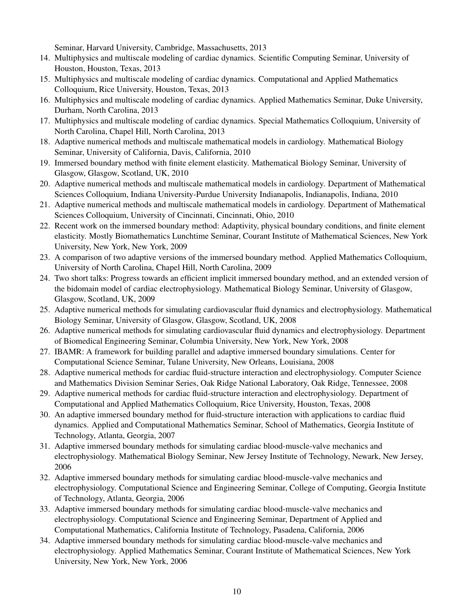Seminar, Harvard University, Cambridge, Massachusetts, 2013

- 14. Multiphysics and multiscale modeling of cardiac dynamics. Scientific Computing Seminar, University of Houston, Houston, Texas, 2013
- 15. Multiphysics and multiscale modeling of cardiac dynamics. Computational and Applied Mathematics Colloquium, Rice University, Houston, Texas, 2013
- 16. Multiphysics and multiscale modeling of cardiac dynamics. Applied Mathematics Seminar, Duke University, Durham, North Carolina, 2013
- 17. Multiphysics and multiscale modeling of cardiac dynamics. Special Mathematics Colloquium, University of North Carolina, Chapel Hill, North Carolina, 2013
- 18. Adaptive numerical methods and multiscale mathematical models in cardiology. Mathematical Biology Seminar, University of California, Davis, California, 2010
- 19. Immersed boundary method with finite element elasticity. Mathematical Biology Seminar, University of Glasgow, Glasgow, Scotland, UK, 2010
- 20. Adaptive numerical methods and multiscale mathematical models in cardiology. Department of Mathematical Sciences Colloquium, Indiana University-Purdue University Indianapolis, Indianapolis, Indiana, 2010
- 21. Adaptive numerical methods and multiscale mathematical models in cardiology. Department of Mathematical Sciences Colloquium, University of Cincinnati, Cincinnati, Ohio, 2010
- 22. Recent work on the immersed boundary method: Adaptivity, physical boundary conditions, and finite element elasticity. Mostly Biomathematics Lunchtime Seminar, Courant Institute of Mathematical Sciences, New York University, New York, New York, 2009
- 23. A comparison of two adaptive versions of the immersed boundary method. Applied Mathematics Colloquium, University of North Carolina, Chapel Hill, North Carolina, 2009
- 24. Two short talks: Progress towards an efficient implicit immersed boundary method, and an extended version of the bidomain model of cardiac electrophysiology. Mathematical Biology Seminar, University of Glasgow, Glasgow, Scotland, UK, 2009
- 25. Adaptive numerical methods for simulating cardiovascular fluid dynamics and electrophysiology. Mathematical Biology Seminar, University of Glasgow, Glasgow, Scotland, UK, 2008
- 26. Adaptive numerical methods for simulating cardiovascular fluid dynamics and electrophysiology. Department of Biomedical Engineering Seminar, Columbia University, New York, New York, 2008
- 27. IBAMR: A framework for building parallel and adaptive immersed boundary simulations. Center for Computational Science Seminar, Tulane University, New Orleans, Louisiana, 2008
- 28. Adaptive numerical methods for cardiac fluid-structure interaction and electrophysiology. Computer Science and Mathematics Division Seminar Series, Oak Ridge National Laboratory, Oak Ridge, Tennessee, 2008
- 29. Adaptive numerical methods for cardiac fluid-structure interaction and electrophysiology. Department of Computational and Applied Mathematics Colloquium, Rice University, Houston, Texas, 2008
- 30. An adaptive immersed boundary method for fluid-structure interaction with applications to cardiac fluid dynamics. Applied and Computational Mathematics Seminar, School of Mathematics, Georgia Institute of Technology, Atlanta, Georgia, 2007
- 31. Adaptive immersed boundary methods for simulating cardiac blood-muscle-valve mechanics and electrophysiology. Mathematical Biology Seminar, New Jersey Institute of Technology, Newark, New Jersey, 2006
- 32. Adaptive immersed boundary methods for simulating cardiac blood-muscle-valve mechanics and electrophysiology. Computational Science and Engineering Seminar, College of Computing, Georgia Institute of Technology, Atlanta, Georgia, 2006
- 33. Adaptive immersed boundary methods for simulating cardiac blood-muscle-valve mechanics and electrophysiology. Computational Science and Engineering Seminar, Department of Applied and Computational Mathematics, California Institute of Technology, Pasadena, California, 2006
- 34. Adaptive immersed boundary methods for simulating cardiac blood-muscle-valve mechanics and electrophysiology. Applied Mathematics Seminar, Courant Institute of Mathematical Sciences, New York University, New York, New York, 2006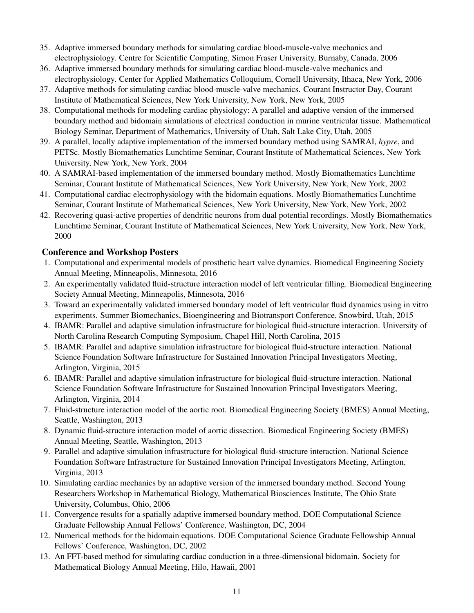- 35. Adaptive immersed boundary methods for simulating cardiac blood-muscle-valve mechanics and electrophysiology. Centre for Scientific Computing, Simon Fraser University, Burnaby, Canada, 2006
- 36. Adaptive immersed boundary methods for simulating cardiac blood-muscle-valve mechanics and electrophysiology. Center for Applied Mathematics Colloquium, Cornell University, Ithaca, New York, 2006
- 37. Adaptive methods for simulating cardiac blood-muscle-valve mechanics. Courant Instructor Day, Courant Institute of Mathematical Sciences, New York University, New York, New York, 2005
- 38. Computational methods for modeling cardiac physiology: A parallel and adaptive version of the immersed boundary method and bidomain simulations of electrical conduction in murine ventricular tissue. Mathematical Biology Seminar, Department of Mathematics, University of Utah, Salt Lake City, Utah, 2005
- 39. A parallel, locally adaptive implementation of the immersed boundary method using SAMRAI, *hypre*, and PETSc. Mostly Biomathematics Lunchtime Seminar, Courant Institute of Mathematical Sciences, New York University, New York, New York, 2004
- 40. A SAMRAI-based implementation of the immersed boundary method. Mostly Biomathematics Lunchtime Seminar, Courant Institute of Mathematical Sciences, New York University, New York, New York, 2002
- 41. Computational cardiac electrophysiology with the bidomain equations. Mostly Biomathematics Lunchtime Seminar, Courant Institute of Mathematical Sciences, New York University, New York, New York, 2002
- 42. Recovering quasi-active properties of dendritic neurons from dual potential recordings. Mostly Biomathematics Lunchtime Seminar, Courant Institute of Mathematical Sciences, New York University, New York, New York, 2000

## Conference and Workshop Posters

- 1. Computational and experimental models of prosthetic heart valve dynamics. Biomedical Engineering Society Annual Meeting, Minneapolis, Minnesota, 2016
- 2. An experimentally validated fluid-structure interaction model of left ventricular filling. Biomedical Engineering Society Annual Meeting, Minneapolis, Minnesota, 2016
- 3. Toward an experimentally validated immersed boundary model of left ventricular fluid dynamics using in vitro experiments. Summer Biomechanics, Bioengineering and Biotransport Conference, Snowbird, Utah, 2015
- 4. IBAMR: Parallel and adaptive simulation infrastructure for biological fluid-structure interaction. University of North Carolina Research Computing Symposium, Chapel Hill, North Carolina, 2015
- 5. IBAMR: Parallel and adaptive simulation infrastructure for biological fluid-structure interaction. National Science Foundation Software Infrastructure for Sustained Innovation Principal Investigators Meeting, Arlington, Virginia, 2015
- 6. IBAMR: Parallel and adaptive simulation infrastructure for biological fluid-structure interaction. National Science Foundation Software Infrastructure for Sustained Innovation Principal Investigators Meeting, Arlington, Virginia, 2014
- 7. Fluid-structure interaction model of the aortic root. Biomedical Engineering Society (BMES) Annual Meeting, Seattle, Washington, 2013
- 8. Dynamic fluid-structure interaction model of aortic dissection. Biomedical Engineering Society (BMES) Annual Meeting, Seattle, Washington, 2013
- 9. Parallel and adaptive simulation infrastructure for biological fluid-structure interaction. National Science Foundation Software Infrastructure for Sustained Innovation Principal Investigators Meeting, Arlington, Virginia, 2013
- 10. Simulating cardiac mechanics by an adaptive version of the immersed boundary method. Second Young Researchers Workshop in Mathematical Biology, Mathematical Biosciences Institute, The Ohio State University, Columbus, Ohio, 2006
- 11. Convergence results for a spatially adaptive immersed boundary method. DOE Computational Science Graduate Fellowship Annual Fellows' Conference, Washington, DC, 2004
- 12. Numerical methods for the bidomain equations. DOE Computational Science Graduate Fellowship Annual Fellows' Conference, Washington, DC, 2002
- 13. An FFT-based method for simulating cardiac conduction in a three-dimensional bidomain. Society for Mathematical Biology Annual Meeting, Hilo, Hawaii, 2001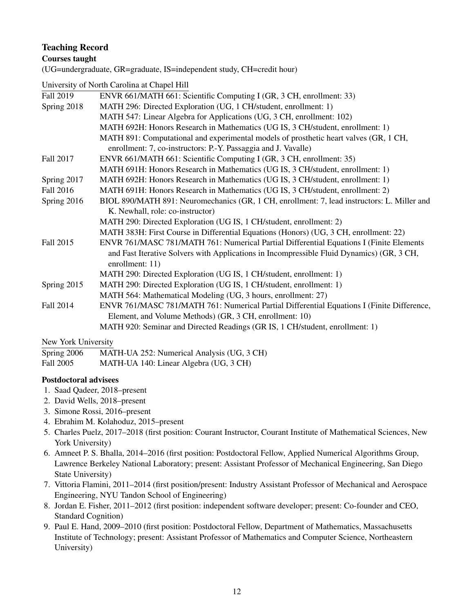## Teaching Record

### Courses taught

(UG=undergraduate, GR=graduate, IS=independent study, CH=credit hour)

University of North Carolina at Chapel Hill

| Fall 2019   | ENVR 661/MATH 661: Scientific Computing I (GR, 3 CH, enrollment: 33)                        |
|-------------|---------------------------------------------------------------------------------------------|
| Spring 2018 | MATH 296: Directed Exploration (UG, 1 CH/student, enrollment: 1)                            |
|             | MATH 547: Linear Algebra for Applications (UG, 3 CH, enrollment: 102)                       |
|             | MATH 692H: Honors Research in Mathematics (UG IS, 3 CH/student, enrollment: 1)              |
|             | MATH 891: Computational and experimental models of prosthetic heart valves (GR, 1 CH,       |
|             | enrollment: 7, co-instructors: P.-Y. Passaggia and J. Vavalle)                              |
| Fall 2017   | ENVR 661/MATH 661: Scientific Computing I (GR, 3 CH, enrollment: 35)                        |
|             | MATH 691H: Honors Research in Mathematics (UG IS, 3 CH/student, enrollment: 1)              |
| Spring 2017 | MATH 692H: Honors Research in Mathematics (UG IS, 3 CH/student, enrollment: 1)              |
| Fall 2016   | MATH 691H: Honors Research in Mathematics (UG IS, 3 CH/student, enrollment: 2)              |
| Spring 2016 | BIOL 890/MATH 891: Neuromechanics (GR, 1 CH, enrollment: 7, lead instructors: L. Miller and |
|             | K. Newhall, role: co-instructor)                                                            |
|             | MATH 290: Directed Exploration (UG IS, 1 CH/student, enrollment: 2)                         |
|             | MATH 383H: First Course in Differential Equations (Honors) (UG, 3 CH, enrollment: 22)       |
| Fall 2015   | ENVR 761/MASC 781/MATH 761: Numerical Partial Differential Equations I (Finite Elements     |
|             | and Fast Iterative Solvers with Applications in Incompressible Fluid Dynamics) (GR, 3 CH,   |
|             | enrollment: 11)                                                                             |
|             | MATH 290: Directed Exploration (UG IS, 1 CH/student, enrollment: 1)                         |
| Spring 2015 | MATH 290: Directed Exploration (UG IS, 1 CH/student, enrollment: 1)                         |
|             | MATH 564: Mathematical Modeling (UG, 3 hours, enrollment: 27)                               |
| Fall 2014   | ENVR 761/MASC 781/MATH 761: Numerical Partial Differential Equations I (Finite Difference,  |
|             | Element, and Volume Methods) (GR, 3 CH, enrollment: 10)                                     |
|             | MATH 920: Seminar and Directed Readings (GR IS, 1 CH/student, enrollment: 1)                |
|             |                                                                                             |

#### New York University

| Spring 2006 | MATH-UA 252: Numerical Analysis (UG, 3 CH) |  |
|-------------|--------------------------------------------|--|
|             |                                            |  |

| Fall 2005<br>MATH-UA 140: Linear Algebra (UG, 3 CH) |
|-----------------------------------------------------|
|-----------------------------------------------------|

#### Postdoctoral advisees

- 1. Saad Qadeer, 2018–present
- 2. David Wells, 2018–present
- 3. Simone Rossi, 2016–present
- 4. Ebrahim M. Kolahoduz, 2015–present
- 5. Charles Puelz, 2017–2018 (first position: Courant Instructor, Courant Institute of Mathematical Sciences, New York University)
- 6. Amneet P. S. Bhalla, 2014–2016 (first position: Postdoctoral Fellow, Applied Numerical Algorithms Group, Lawrence Berkeley National Laboratory; present: Assistant Professor of Mechanical Engineering, San Diego State University)
- 7. Vittoria Flamini, 2011–2014 (first position/present: Industry Assistant Professor of Mechanical and Aerospace Engineering, NYU Tandon School of Engineering)
- 8. Jordan E. Fisher, 2011–2012 (first position: independent software developer; present: Co-founder and CEO, Standard Cognition)
- 9. Paul E. Hand, 2009–2010 (first position: Postdoctoral Fellow, Department of Mathematics, Massachusetts Institute of Technology; present: Assistant Professor of Mathematics and Computer Science, Northeastern University)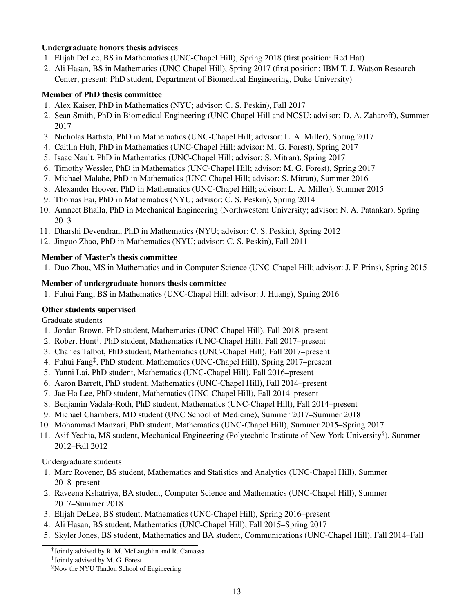### Undergraduate honors thesis advisees

- 1. Elijah DeLee, BS in Mathematics (UNC-Chapel Hill), Spring 2018 (first position: Red Hat)
- 2. Ali Hasan, BS in Mathematics (UNC-Chapel Hill), Spring 2017 (first position: IBM T. J. Watson Research Center; present: PhD student, Department of Biomedical Engineering, Duke University)

### Member of PhD thesis committee

- 1. Alex Kaiser, PhD in Mathematics (NYU; advisor: C. S. Peskin), Fall 2017
- 2. Sean Smith, PhD in Biomedical Engineering (UNC-Chapel Hill and NCSU; advisor: D. A. Zaharoff), Summer 2017
- 3. Nicholas Battista, PhD in Mathematics (UNC-Chapel Hill; advisor: L. A. Miller), Spring 2017
- 4. Caitlin Hult, PhD in Mathematics (UNC-Chapel Hill; advisor: M. G. Forest), Spring 2017
- 5. Isaac Nault, PhD in Mathematics (UNC-Chapel Hill; advisor: S. Mitran), Spring 2017
- 6. Timothy Wessler, PhD in Mathematics (UNC-Chapel Hill; advisor: M. G. Forest), Spring 2017
- 7. Michael Malahe, PhD in Mathematics (UNC-Chapel Hill; advisor: S. Mitran), Summer 2016
- 8. Alexander Hoover, PhD in Mathematics (UNC-Chapel Hill; advisor: L. A. Miller), Summer 2015
- 9. Thomas Fai, PhD in Mathematics (NYU; advisor: C. S. Peskin), Spring 2014
- 10. Amneet Bhalla, PhD in Mechanical Engineering (Northwestern University; advisor: N. A. Patankar), Spring 2013
- 11. Dharshi Devendran, PhD in Mathematics (NYU; advisor: C. S. Peskin), Spring 2012
- 12. Jinguo Zhao, PhD in Mathematics (NYU; advisor: C. S. Peskin), Fall 2011

### Member of Master's thesis committee

1. Duo Zhou, MS in Mathematics and in Computer Science (UNC-Chapel Hill; advisor: J. F. Prins), Spring 2015

### Member of undergraduate honors thesis committee

1. Fuhui Fang, BS in Mathematics (UNC-Chapel Hill; advisor: J. Huang), Spring 2016

## Other students supervised

Graduate students

- 1. Jordan Brown, PhD student, Mathematics (UNC-Chapel Hill), Fall 2018–present
- 2. Robert Hunt† , PhD student, Mathematics (UNC-Chapel Hill), Fall 2017–present
- 3. Charles Talbot, PhD student, Mathematics (UNC-Chapel Hill), Fall 2017–present
- 4. Fuhui Fang‡ , PhD student, Mathematics (UNC-Chapel Hill), Spring 2017–present
- 5. Yanni Lai, PhD student, Mathematics (UNC-Chapel Hill), Fall 2016–present
- 6. Aaron Barrett, PhD student, Mathematics (UNC-Chapel Hill), Fall 2014–present
- 7. Jae Ho Lee, PhD student, Mathematics (UNC-Chapel Hill), Fall 2014–present
- 8. Benjamin Vadala-Roth, PhD student, Mathematics (UNC-Chapel Hill), Fall 2014–present
- 9. Michael Chambers, MD student (UNC School of Medicine), Summer 2017–Summer 2018
- 10. Mohammad Manzari, PhD student, Mathematics (UNC-Chapel Hill), Summer 2015–Spring 2017
- 11. Asif Yeahia, MS student, Mechanical Engineering (Polytechnic Institute of New York University§ ), Summer 2012–Fall 2012

#### Undergraduate students

- 1. Marc Rovener, BS student, Mathematics and Statistics and Analytics (UNC-Chapel Hill), Summer 2018–present
- 2. Raveena Kshatriya, BA student, Computer Science and Mathematics (UNC-Chapel Hill), Summer 2017–Summer 2018
- 3. Elijah DeLee, BS student, Mathematics (UNC-Chapel Hill), Spring 2016–present
- 4. Ali Hasan, BS student, Mathematics (UNC-Chapel Hill), Fall 2015–Spring 2017
- 5. Skyler Jones, BS student, Mathematics and BA student, Communications (UNC-Chapel Hill), Fall 2014–Fall

<sup>†</sup> Jointly advised by R. M. McLaughlin and R. Camassa

<sup>‡</sup> Jointly advised by M. G. Forest

<sup>&</sup>lt;sup>§</sup>Now the NYU Tandon School of Engineering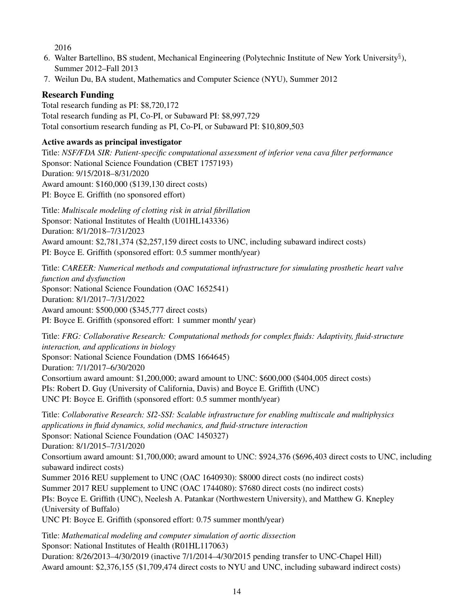2016

- 6. Walter Bartellino, BS student, Mechanical Engineering (Polytechnic Institute of New York University§ ), Summer 2012–Fall 2013
- 7. Weilun Du, BA student, Mathematics and Computer Science (NYU), Summer 2012

# Research Funding

Total research funding as PI: \$8,720,172 Total research funding as PI, Co-PI, or Subaward PI: \$8,997,729 Total consortium research funding as PI, Co-PI, or Subaward PI: \$10,809,503

## Active awards as principal investigator

Title: *NSF/FDA SIR: Patient-specific computational assessment of inferior vena cava filter performance* Sponsor: National Science Foundation (CBET 1757193) Duration: 9/15/2018–8/31/2020 Award amount: \$160,000 (\$139,130 direct costs) PI: Boyce E. Griffith (no sponsored effort)

Title: *Multiscale modeling of clotting risk in atrial fibrillation* Sponsor: National Institutes of Health (U01HL143336) Duration: 8/1/2018–7/31/2023 Award amount: \$2,781,374 (\$2,257,159 direct costs to UNC, including subaward indirect costs) PI: Boyce E. Griffith (sponsored effort: 0.5 summer month/year)

Title: *CAREER: Numerical methods and computational infrastructure for simulating prosthetic heart valve function and dysfunction* Sponsor: National Science Foundation (OAC 1652541) Duration: 8/1/2017–7/31/2022 Award amount: \$500,000 (\$345,777 direct costs) PI: Boyce E. Griffith (sponsored effort: 1 summer month/ year)

Title: *FRG: Collaborative Research: Computational methods for complex fluids: Adaptivity, fluid-structure interaction, and applications in biology* Sponsor: National Science Foundation (DMS 1664645) Duration: 7/1/2017–6/30/2020 Consortium award amount: \$1,200,000; award amount to UNC: \$600,000 (\$404,005 direct costs) PIs: Robert D. Guy (University of California, Davis) and Boyce E. Griffith (UNC) UNC PI: Boyce E. Griffith (sponsored effort: 0.5 summer month/year)

Title: *Collaborative Research: SI2-SSI: Scalable infrastructure for enabling multiscale and multiphysics applications in fluid dynamics, solid mechanics, and fluid-structure interaction* Sponsor: National Science Foundation (OAC 1450327) Duration: 8/1/2015–7/31/2020 Consortium award amount: \$1,700,000; award amount to UNC: \$924,376 (\$696,403 direct costs to UNC, including subaward indirect costs) Summer 2016 REU supplement to UNC (OAC 1640930): \$8000 direct costs (no indirect costs) Summer 2017 REU supplement to UNC (OAC 1744080): \$7680 direct costs (no indirect costs) PIs: Boyce E. Griffith (UNC), Neelesh A. Patankar (Northwestern University), and Matthew G. Knepley (University of Buffalo) UNC PI: Boyce E. Griffith (sponsored effort: 0.75 summer month/year)

Title: *Mathematical modeling and computer simulation of aortic dissection* Sponsor: National Institutes of Health (R01HL117063) Duration: 8/26/2013–4/30/2019 (inactive 7/1/2014–4/30/2015 pending transfer to UNC-Chapel Hill) Award amount: \$2,376,155 (\$1,709,474 direct costs to NYU and UNC, including subaward indirect costs)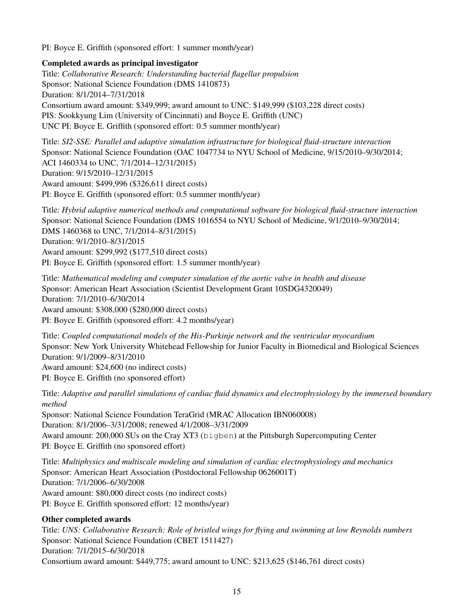PI: Boyce E. Griffith (sponsored effort: 1 summer month/year)

### Completed awards as principal investigator

Title: *Collaborative Research: Understanding bacterial flagellar propulsion* Sponsor: National Science Foundation (DMS 1410873) Duration: 8/1/2014–7/31/2018 Consortium award amount: \$349,999; award amount to UNC: \$149,999 (\$103,228 direct costs) PIS: Sookkyung Lim (University of Cincinnati) and Boyce E. Griffith (UNC) UNC PI: Boyce E. Griffith (sponsored effort: 0.5 summer month/year)

Title: *SI2-SSE: Parallel and adaptive simulation infrastructure for biological fluid-structure interaction* Sponsor: National Science Foundation (OAC 1047734 to NYU School of Medicine, 9/15/2010–9/30/2014; ACI 1460334 to UNC, 7/1/2014–12/31/2015) Duration: 9/15/2010–12/31/2015 Award amount: \$499,996 (\$326,611 direct costs) PI: Boyce E. Griffith (sponsored effort: 0.5 summer month/year)

Title: *Hybrid adaptive numerical methods and computational software for biological fluid-structure interaction* Sponsor: National Science Foundation (DMS 1016554 to NYU School of Medicine, 9/1/2010–9/30/2014; DMS 1460368 to UNC, 7/1/2014–8/31/2015) Duration: 9/1/2010–8/31/2015 Award amount: \$299,992 (\$177,510 direct costs) PI: Boyce E. Griffith (sponsored effort: 1.5 summer month/year)

Title: *Mathematical modeling and computer simulation of the aortic valve in health and disease* Sponsor: American Heart Association (Scientist Development Grant 10SDG4320049) Duration: 7/1/2010–6/30/2014 Award amount: \$308,000 (\$280,000 direct costs) PI: Boyce E. Griffith (sponsored effort: 4.2 months/year)

Title: *Coupled computational models of the His-Purkinje network and the ventricular myocardium* Sponsor: New York University Whitehead Fellowship for Junior Faculty in Biomedical and Biological Sciences Duration: 9/1/2009–8/31/2010 Award amount: \$24,600 (no indirect costs) PI: Boyce E. Griffith (no sponsored effort)

Title: *Adaptive and parallel simulations of cardiac fluid dynamics and electrophysiology by the immersed boundary method* Sponsor: National Science Foundation TeraGrid (MRAC Allocation IBN060008) Duration: 8/1/2006–3/31/2008; renewed 4/1/2008–3/31/2009

Award amount: 200,000 SUs on the Cray XT3 (bigben) at the Pittsburgh Supercomputing Center PI: Boyce E. Griffith (no sponsored effort)

Title: *Multiphysics and multiscale modeling and simulation of cardiac electrophysiology and mechanics* Sponsor: American Heart Association (Postdoctoral Fellowship 0626001T) Duration: 7/1/2006–6/30/2008 Award amount: \$80,000 direct costs (no indirect costs) PI: Boyce E. Griffith sponsored effort: 12 months/year)

## Other completed awards

Title: *UNS: Collaborative Research: Role of bristled wings for flying and swimming at low Reynolds numbers* Sponsor: National Science Foundation (CBET 1511427) Duration: 7/1/2015–6/30/2018 Consortium award amount: \$449,775; award amount to UNC: \$213,625 (\$146,761 direct costs)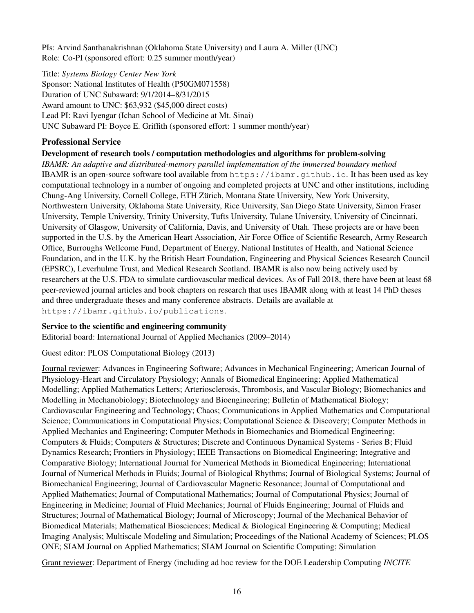PIs: Arvind Santhanakrishnan (Oklahoma State University) and Laura A. Miller (UNC) Role: Co-PI (sponsored effort: 0.25 summer month/year)

Title: *Systems Biology Center New York*

Sponsor: National Institutes of Health (P50GM071558) Duration of UNC Subaward: 9/1/2014–8/31/2015 Award amount to UNC: \$63,932 (\$45,000 direct costs) Lead PI: Ravi Iyengar (Ichan School of Medicine at Mt. Sinai) UNC Subaward PI: Boyce E. Griffith (sponsored effort: 1 summer month/year)

# Professional Service

## Development of research tools / computation methodologies and algorithms for problem-solving

*IBAMR: An adaptive and distributed-memory parallel implementation of the immersed boundary method* IBAMR is an open-source software tool available from https://ibamr.github.io. It has been used as key computational technology in a number of ongoing and completed projects at UNC and other institutions, including Chung-Ang University, Cornell College, ETH Zurich, Montana State University, New York University, ¨ Northwestern University, Oklahoma State University, Rice University, San Diego State University, Simon Fraser University, Temple University, Trinity University, Tufts University, Tulane University, University of Cincinnati, University of Glasgow, University of California, Davis, and University of Utah. These projects are or have been supported in the U.S. by the American Heart Association, Air Force Office of Scientific Research, Army Research Office, Burroughs Wellcome Fund, Department of Energy, National Institutes of Health, and National Science Foundation, and in the U.K. by the British Heart Foundation, Engineering and Physical Sciences Research Council (EPSRC), Leverhulme Trust, and Medical Research Scotland. IBAMR is also now being actively used by researchers at the U.S. FDA to simulate cardiovascular medical devices. As of Fall 2018, there have been at least 68 peer-reviewed journal articles and book chapters on research that uses IBAMR along with at least 14 PhD theses and three undergraduate theses and many conference abstracts. Details are available at https://ibamr.github.io/publications.

## Service to the scientific and engineering community

Editorial board: International Journal of Applied Mechanics (2009–2014)

## Guest editor: PLOS Computational Biology (2013)

Journal reviewer: Advances in Engineering Software; Advances in Mechanical Engineering; American Journal of Physiology-Heart and Circulatory Physiology; Annals of Biomedical Engineering; Applied Mathematical Modelling; Applied Mathematics Letters; Arteriosclerosis, Thrombosis, and Vascular Biology; Biomechanics and Modelling in Mechanobiology; Biotechnology and Bioengineering; Bulletin of Mathematical Biology; Cardiovascular Engineering and Technology; Chaos; Communications in Applied Mathematics and Computational Science; Communications in Computational Physics; Computational Science & Discovery; Computer Methods in Applied Mechanics and Engineering; Computer Methods in Biomechanics and Biomedical Engineering; Computers & Fluids; Computers & Structures; Discrete and Continuous Dynamical Systems - Series B; Fluid Dynamics Research; Frontiers in Physiology; IEEE Transactions on Biomedical Engineering; Integrative and Comparative Biology; International Journal for Numerical Methods in Biomedical Engineering; International Journal of Numerical Methods in Fluids; Journal of Biological Rhythms; Journal of Biological Systems; Journal of Biomechanical Engineering; Journal of Cardiovascular Magnetic Resonance; Journal of Computational and Applied Mathematics; Journal of Computational Mathematics; Journal of Computational Physics; Journal of Engineering in Medicine; Journal of Fluid Mechanics; Journal of Fluids Engineering; Journal of Fluids and Structures; Journal of Mathematical Biology; Journal of Microscopy; Journal of the Mechanical Behavior of Biomedical Materials; Mathematical Biosciences; Medical & Biological Engineering & Computing; Medical Imaging Analysis; Multiscale Modeling and Simulation; Proceedings of the National Academy of Sciences; PLOS ONE; SIAM Journal on Applied Mathematics; SIAM Journal on Scientific Computing; Simulation

Grant reviewer: Department of Energy (including ad hoc review for the DOE Leadership Computing *INCITE*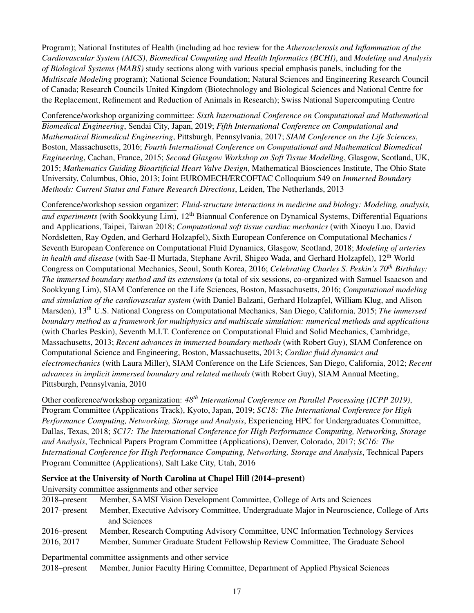Program); National Institutes of Health (including ad hoc review for the *Atherosclerosis and Inflammation of the Cardiovascular System (AICS)*, *Biomedical Computing and Health Informatics (BCHI)*, and *Modeling and Analysis of Biological Systems (MABS)* study sections along with various special emphasis panels, including for the *Multiscale Modeling* program); National Science Foundation; Natural Sciences and Engineering Research Council of Canada; Research Councils United Kingdom (Biotechnology and Biological Sciences and National Centre for the Replacement, Refinement and Reduction of Animals in Research); Swiss National Supercomputing Centre

Conference/workshop organizing committee: *Sixth International Conference on Computational and Mathematical Biomedical Engineering*, Sendai City, Japan, 2019; *Fifth International Conference on Computational and Mathematical Biomedical Engineering*, Pittsburgh, Pennsylvania, 2017; *SIAM Conference on the Life Sciences*, Boston, Massachusetts, 2016; *Fourth International Conference on Computational and Mathematical Biomedical Engineering*, Cachan, France, 2015; *Second Glasgow Workshop on Soft Tissue Modelling*, Glasgow, Scotland, UK, 2015; *Mathematics Guiding Bioartificial Heart Valve Design*, Mathematical Biosciences Institute, The Ohio State University, Columbus, Ohio, 2013; Joint EUROMECH/ERCOFTAC Colloquium 549 on *Immersed Boundary Methods: Current Status and Future Research Directions*, Leiden, The Netherlands, 2013

Conference/workshop session organizer: *Fluid-structure interactions in medicine and biology: Modeling, analysis,* and experiments (with Sookkyung Lim), 12<sup>th</sup> Biannual Conference on Dynamical Systems, Differential Equations and Applications, Taipei, Taiwan 2018; *Computational soft tissue cardiac mechanics* (with Xiaoyu Luo, David Nordsletten, Ray Ogden, and Gerhard Holzapfel), Sixth European Conference on Computational Mechanics / Seventh European Conference on Computational Fluid Dynamics, Glasgow, Scotland, 2018; *Modeling of arteries in health and disease* (with Sae-Il Murtada, Stephane Avril, Shigeo Wada, and Gerhard Holzapfel), 12th World Congress on Computational Mechanics, Seoul, South Korea, 2016; *Celebrating Charles S. Peskin's 70th Birthday: The immersed boundary method and its extensions* (a total of six sessions, co-organized with Samuel Isaacson and Sookkyung Lim), SIAM Conference on the Life Sciences, Boston, Massachusetts, 2016; *Computational modeling and simulation of the cardiovascular system* (with Daniel Balzani, Gerhard Holzapfel, William Klug, and Alison Marsden), 13th U.S. National Congress on Computational Mechanics, San Diego, California, 2015; *The immersed boundary method as a framework for multiphysics and multiscale simulation: numerical methods and applications* (with Charles Peskin), Seventh M.I.T. Conference on Computational Fluid and Solid Mechanics, Cambridge, Massachusetts, 2013; *Recent advances in immersed boundary methods* (with Robert Guy), SIAM Conference on Computational Science and Engineering, Boston, Massachusetts, 2013; *Cardiac fluid dynamics and electromechanics* (with Laura Miller), SIAM Conference on the Life Sciences, San Diego, California, 2012; *Recent advances in implicit immersed boundary and related methods* (with Robert Guy), SIAM Annual Meeting, Pittsburgh, Pennsylvania, 2010

Other conference/workshop organization: *48th International Conference on Parallel Processing (ICPP 2019)*, Program Committee (Applications Track), Kyoto, Japan, 2019; *SC18: The International Conference for High Performance Computing, Networking, Storage and Analysis*, Experiencing HPC for Undergraduates Committee, Dallas, Texas, 2018; *SC17: The International Conference for High Performance Computing, Networking, Storage and Analysis*, Technical Papers Program Committee (Applications), Denver, Colorado, 2017; *SC16: The International Conference for High Performance Computing, Networking, Storage and Analysis*, Technical Papers Program Committee (Applications), Salt Lake City, Utah, 2016

Service at the University of North Carolina at Chapel Hill (2014–present)

University committee assignments and other service

| 2018–present    | Member, SAMSI Vision Development Committee, College of Arts and Sciences                   |
|-----------------|--------------------------------------------------------------------------------------------|
| $2017$ -present | Member, Executive Advisory Committee, Undergraduate Major in Neuroscience, College of Arts |
|                 | and Sciences                                                                               |
| $2016$ -present | Member, Research Computing Advisory Committee, UNC Information Technology Services         |
| 2016, 2017      | Member, Summer Graduate Student Fellowship Review Committee, The Graduate School           |
|                 | Departmental committee assignments and other service                                       |

2018–present Member, Junior Faculty Hiring Committee, Department of Applied Physical Sciences